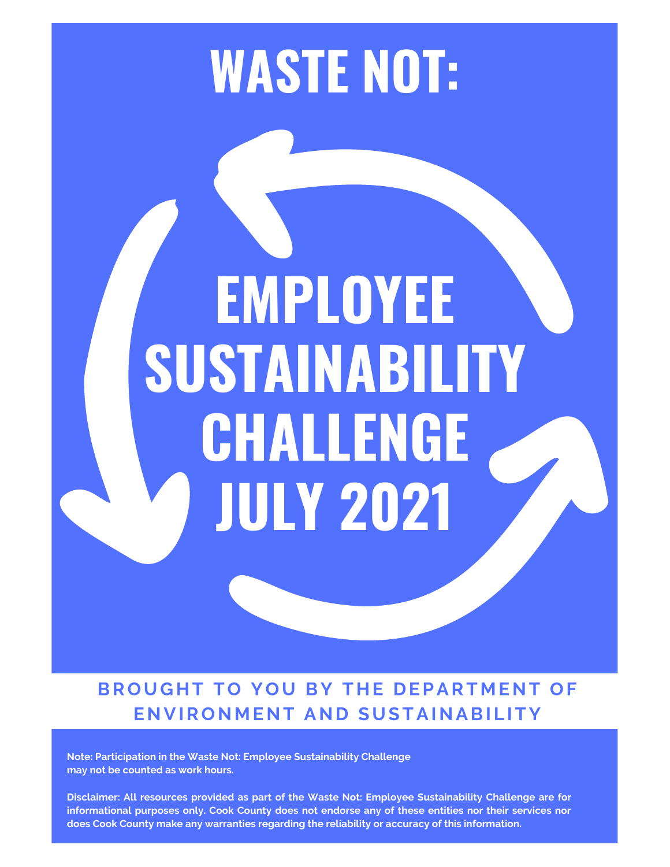## **WASTE NOT:**

# **EMPLOYEE SUSTAINABILITY CHALLENGE JULY 2021**

**BROUGHT TO YOU BY THE DEPARTMENT OF ENVIRON M ENT AND SUSTAINABI L ITY**

**Note: Participation in the Waste Not: Employee Sustainability Challenge may not be counted as work hours.**

**Disclaimer: All resources provided as part of the Waste Not: Employee Sustainability Challenge are for informational purposes only. Cook County does not endorse any of these entities nor their services nor does Cook County make any warranties regarding the reliability or accuracy of this information.**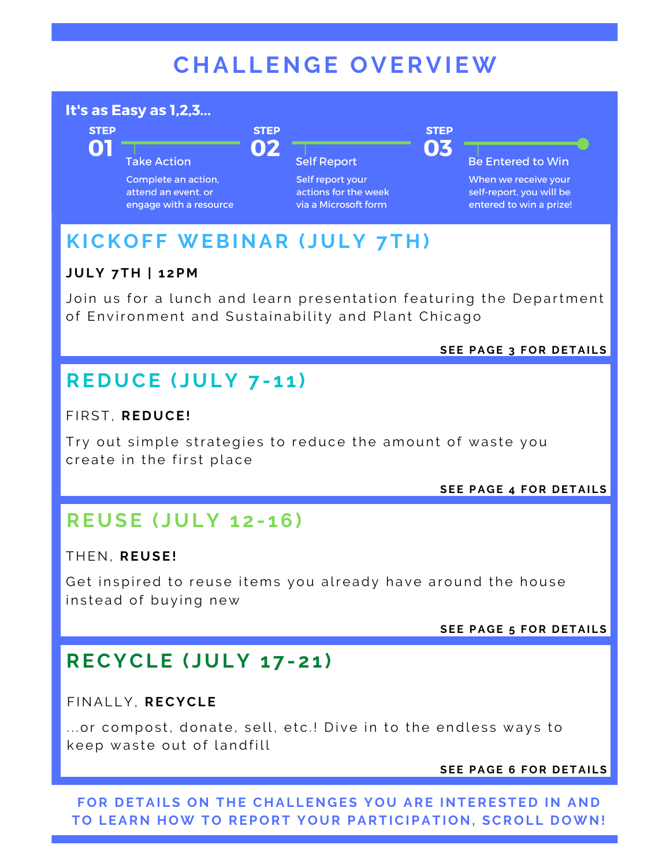## **C H AL LENG E OVERVIEW**

#### It's as Easy as 1,2,3...

**STEP** 

**01** 

**Take Action** Complete an action. attend an event, or

engage with a resource

**Self Report** 

Self report your actions for the week via a Microsoft form

03

**STEP** 

**Be Entered to Win** 

When we receive your self-report, you will be entered to win a prize!

## **KICKOF F WEBINAR ( JULY 7T H )**

**STEP** 

02

#### **JULY 7T H | 1 2P M**

Join us for a lunch and learn presentation featuring the Department of Environment and Sustainability and Plant Chicago

**SEE PA G E 3 FOR D ETAI LS**

## **RE DUCE ( JULY 7 - 1 1 )**

#### F IRST, **RE DUCE!**

Try out simple strategies to reduce the amount of waste you create in the first place

**SEE PA G E 4 FOR D ETAI LS**

## **REUSE ( JULY 1 2 - 16)**

#### T H EN, **REUSE!**

Get inspired to reuse items you already have around the house instead of buying new

**SEE PA G E 5 FOR D ETAI LS**

## **RECYCLE ( JULY 1 7 - 2 1 )**

#### F INAL LY, **RECYCLE**

... or compost, donate, sell, etc.! Dive in to the endless ways to keep waste out of landfill

**SEE PA G E 6 FOR D ETAI LS**

**FOR D ETAI LS ON T H E C H AL LENG ES YOU ARE INTERESTE D IN AND TO LEARN HOW TO REPORT YOU R PARTICIPATION, SCROL L DOWN!**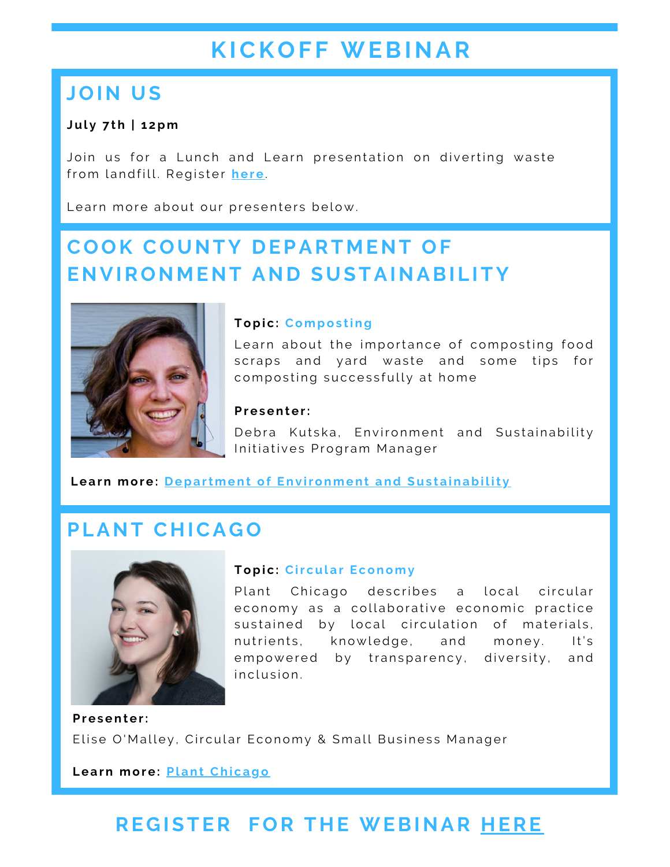## **KICKOF F WEBINAR**

## **JOIN US**

#### **Jul y 7 th | 1 2pm**

Join us for a Lunch and Learn presentation on diverting waste from landfill. Register [he](https://tinyurl.com/CC-Lunch-Learn)re.

Learn more about our presenters below.

## **COOK COUNTY DEPARTMENT OF ENVIRON M ENT AND SUSTAINABI L ITY**



#### **Topic: Composting**

Learn about the importance of composting food scraps and yard waste and some tips for composting successfully at home

#### **Pr e s ent e r:**

Debra Kutska, Environment and Sustainability Initiatives Program Manager

**Learn more: Department of Env[ironment](https://www.cookcountyil.gov/agency/environmental-control) and Sustainability** 

### **PLANT C H ICA GO**



#### **Topic: Circular Economy**

Plant Chicago describes a local circular e conomy as a collaborative e conomic practice sustained by local circulation of materials, nutrients, knowledge, and money. It's empowered by transparency, diversity, and in clusion.

 $P$  **resenter:** Elise O'Malley, Circular Economy & Small Business Manager

**L e a rn mor e : Pl ant Chi c [ago](https://www.plantchicago.org/circular-economy)**

## **RE G ISTER FOR T H E WEBINAR H [ERE](https://tinyurl.com/CC-Lunch-Learn)**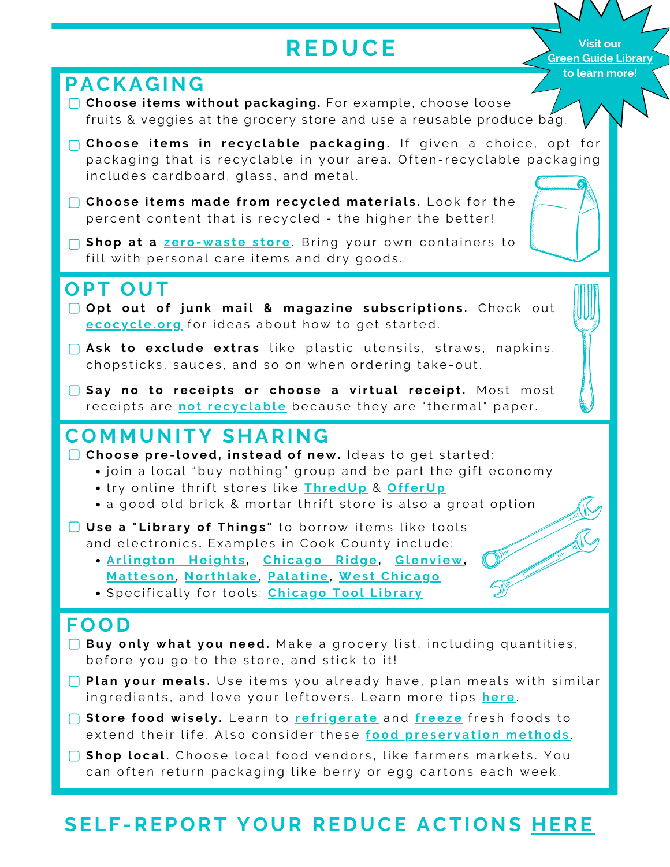## **RE D U CE**

**Visit our Green Guide [Library](https://www.cookcountyil.gov/content/green-guide-library) to learn more!**

#### **PACKA G ING**

- **Choose items without packaging.** For example, choose loose fruits & veggies at the grocery store and use a reusable produce bag.
- **Choose items in recyclable packaging.** If given a choice, opt for packaging that is recyclable in your area. Often-recyclable packaging includes cardboard, glass, and metal.
- **Choos e it ems made from r e c y c l ed ma t e ri a l s .**L o o k f o r t h e percent content that is recycled - the higher the better!
- **Shop** at a ze[ro-](https://www.litterless.com/bulk-food-guide/illinois)waste store. Bring your own containers to fill with personal care items and dry goods.

## **OPT OUT**

- **Opt** out of junk mail & magazine subscriptions. Check out **ecocycle[.org](https://www.ecocycle.org/junkmail)** for ideas about how to get started.
- **Ask to exclude extras** like plastic utensils, straws, napkins, chopsticks, sauces, and so on when ordering take-out.
- Say no to receipts or choose a virtual receipt. Most most receipts are **[not](https://www.sierraclub.org/sierra/2017-2-march-april/ask-mr-green/hey-mr-green-should-receipts-be-recycled) recyclable** because they are "thermal" paper.

## **CO M M UNITY S H ARING**

**Choose pre-loved, instead of new.** Ideas to get started:

- join a local "buy nothing" group and be part the gift economy
- **A D JUST YOUR T H ER M [OST](https://www.thredup.com/)AT** tr y o n li n e t h rift s t o r e s l i k e **Thr edUp** & **Off e [rUp](https://offerup.com/)**
	- a good old brick & mortar thrift store is also a great option
- **Us e a " L ibr a r y of Things "** t o bo rr o w it ems l i k e t o o ls and electronics. Examples in Cook County include:
	- **.** [Arlington](https://www.ahml.info/borrow/library_of_things) Heights, Chicago [Ridge,](https://chicagoridgelibrary.org/library-of-things-4140) Gl[env](https://www.glenviewpl.org/steam-collection/)iew, **Matte[son](https://www.mapld.org/libraryofthings/), [Northl](https://www.northlakelibrary.org/library-of-things/)ake, Pala[tine](https://www.palatinelibrary.org/books-movies-more/library-things), West Chic[ago](https://wcpld.info/services/library-of-things/)**
	- $\bullet$  Specifically for tools: **Chicago [Tool](https://www.chicagotoollibrary.org/) Library**

## **FOOD**

- □ Buy only what you need. Make a grocery list, including quantities,<br>before you go to the store, and stick to it!
- **Plan your meals.** Use items you already have, plan meals with similar ingr[e](https://www.thekitchn.com/reduce-waste-through-savvy-meal-planning-the-smart-shopper-218145)dients, and love your leftovers. Learn more tips here.
- Store food wisely. Learn to re[fri](https://www.realsimple.com/food-recipes/shopping-storing/food/store-food-refrigerator)gerate and [fr](https://www.tasteofhome.com/article/freezing-food/)eeze fresh foods to extend their life. Also consider these food preserva[tio](http://www.homepreservingbible.com/1118-easy-food-preservation-methods-help-you-avoid-food-waste/)n methods.
- **Shop local.** Choose local food vendors, like farmers markets. You can often return packaging like berry or egg cartons each week.

## **SEL F -REPORT YOUR RE DUCE ACTIONS H [ERE](https://forms.office.com/Pages/ResponsePage.aspx?id=rlVNi7RtBU6oXFnWolbNbtsON2yO_SxMgV7Ub7E2orlUMUlWT0xUSUY0N1MwRFRIUldGOTRCN1ZIMi4u)**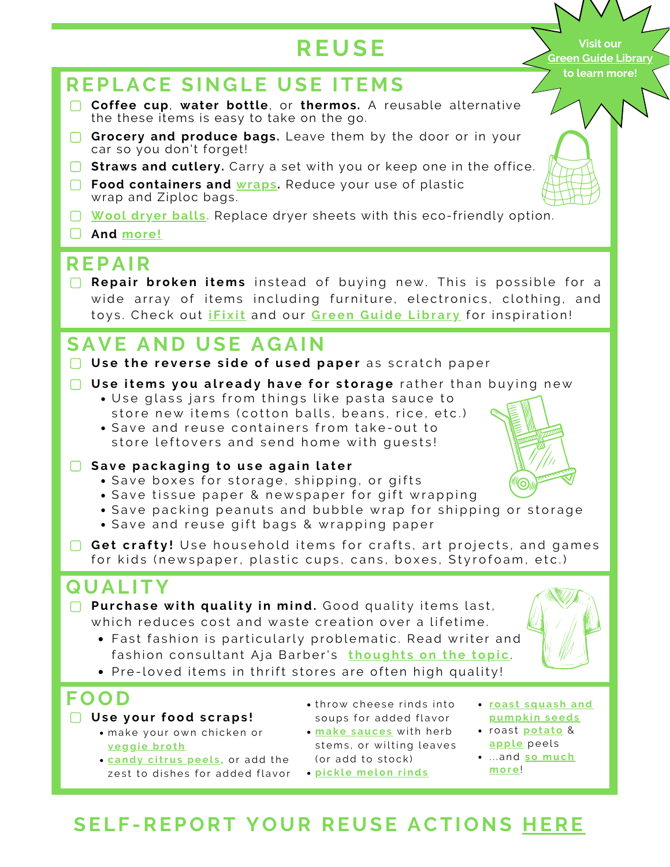## **RE U SE**

**Visit our Green Guide [Library](https://www.cookcountyil.gov/content/green-guide-library) to learn more!**

## **REPLACE SINGLE USE ITEMS**

- **Coffee cup**, **water bottle**, or **thermos.** A reusable alternative the these items is easy to take on the go.
- **Grocery and produce bags.** Leave them by the door or in your car so you don't forget!
- **Straws and cutlery.** Carry a set with you or keep one in the office.
- **Food containers and [wraps.](https://www.treehugger.com/best-reusable-beeswax-wraps-5086458)** Reduce your use of plastic wrap and Ziploc bags.
- **[Wool](https://www.thespruce.com/best-wool-dryer-balls-4781065) [dryer](https://www.thespruce.com/best-wool-dryer-balls-4781065) balls.** Replace dryer sheets with this eco-friendly option.
- **And [more!](https://www.hennepin.us/choose-to-reuse/tips/replace-with-reusables)**

## **REPAIR**

**Repair broken items** instead of buying new. This is possible for a wide array of items including furniture, electronics, clothing, and toys. Check out *iFix[it](https://www.ifixit.com/)* and our Green G[uide](https://www.cookcountyil.gov/content/green-guide-library) Library for inspiration!

## **SAVE AND USE A G AIN**

- □ Use the reverse side of used paper as scratch paper
- □ Use items you already have for storage rather than buying new
	- Use glass jars from things like pasta sauce to store new items (cotton balls, beans, rice, etc.)
	- Save and reuse containers from take-out to store leftovers and send home with guests!
- Save packaging to use again later
- **•** Save boxes for storage, shipping, or gifts
	- Save tissue paper & newspaper for gift wrapping
	- Save packing peanuts and bubble wrap for shipping or storage
	- Save and reuse gift bags & wrapping paper
- **Get crafty!** Use household items for crafts, art projects, and games for kids (newspaper, plastic cups, cans, boxes, Styrofoam, etc.)

## **QUAL ITY**

- **Purchase with quality in mind.** Good quality items last, which reduces cost and waste creation over a lifetime.
	- Fast fashion is particularly problematic. Read writer and fashion consultant Aja Barber's **[thought](https://eco-age.com/resources/aja-barber-fast-fashion-actually-cheap/)s on the topic**.
	- Pre-loved items in thrift stores are often high quality!

## **FOOD**

- **Us e your food s c raps !**
	- make your own chicken or **v eggi e [broth](https://minimalistbaker.com/easy-1-pot-vegetable-broth/)**
	- **c[andy](https://www.allrecipes.com/recipe/56693/candied-lemon-peel/) citrus peels**, or add the zest to dishes for added flavor
- throw cheese rinds into soups for added flavor
- **ma k e s [auc](https://fromscratchfast.com/how-to-make-green-sauce/) e s** w it h h e rb stems, or wilting leaves (or add to stock)
	- **pi c k l e me lon [rinds](https://www.thespruceeats.com/watermelon-rind-pickles-recipe-3059156)**
- **roast squash and [pumpk](https://www.thekitchn.com/how-to-roast-pumpkin-and-squash-seeds-4687) in s e eds**
- **roast <u>[pot](https://www.thekitchn.com/heres-why-you-should-never-throw-out-potato-peelings-tips-from-the-kitchn-212565)ato</u> & [appl](http://thekitchn.com/baked-apple-peels-tips-from-the-kitchn-214648) e** pe e l s
- . . . a nd **so [much](https://www.thespruceeats.com/smart-ways-to-use-food-scraps-4845396) mor e**!

## **SEL F -REPORT YOUR REUSE ACTIONS H [ERE](https://forms.office.com/Pages/ResponsePage.aspx?id=rlVNi7RtBU6oXFnWolbNbtsON2yO_SxMgV7Ub7E2orlUMEkyUlNERzkwSkYzRTlOQkJBSzBYTTk0MC4u)**